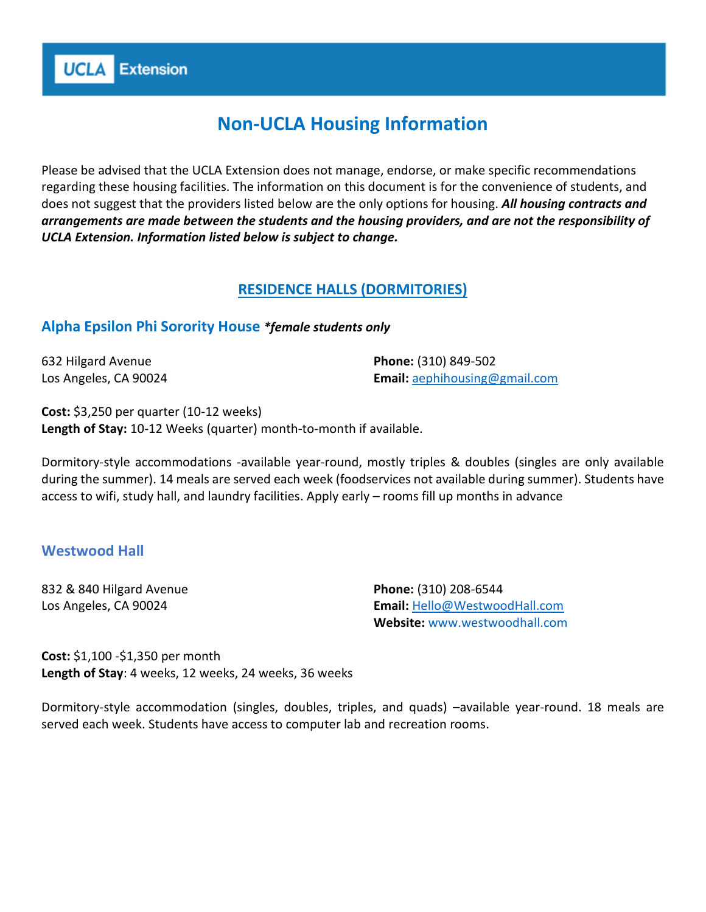# **Non-UCLA Housing Information**

Please be advised that the UCLA Extension does not manage, endorse, or make specific recommendations regarding these housing facilities. The information on this document is for the convenience of students, and does not suggest that the providers listed below are the only options for housing. *All housing contracts and arrangements are made between the students and the housing providers, and are not the responsibility of UCLA Extension. Information listed below is subject to change.* 

# **RESIDENCE HALLS (DORMITORIES)**

## **Alpha Epsilon Phi Sorority House** *\*female students only*

632 Hilgard Avenue Los Angeles, CA 90024

**UCLA** Extension

**Phone:** (310) 849-502 **Email:** [aephihousing@gmail.com](mailto:aephihousing@gmail.com)

**Cost:** \$3,250 per quarter (10-12 weeks) **Length of Stay:** 10-12 Weeks (quarter) month-to-month if available.

Dormitory-style accommodations -available year-round, mostly triples & doubles (singles are only available during the summer). 14 meals are served each week (foodservices not available during summer). Students have access to wifi, study hall, and laundry facilities. Apply early – rooms fill up months in advance

## **Westwood Hall**

832 & 840 Hilgard Avenue Los Angeles, CA 90024

**Phone:** (310) 208-6544 **Email:** [Hello@WestwoodHall.com](mailto:Hello@WestwoodHall.com) **Website:** www.westwoodhall.com

**Cost:** \$1,100 -\$1,350 per month **Length of Stay**: 4 weeks, 12 weeks, 24 weeks, 36 weeks

Dormitory-style accommodation (singles, doubles, triples, and quads) –available year-round. 18 meals are served each week. Students have access to computer lab and recreation rooms.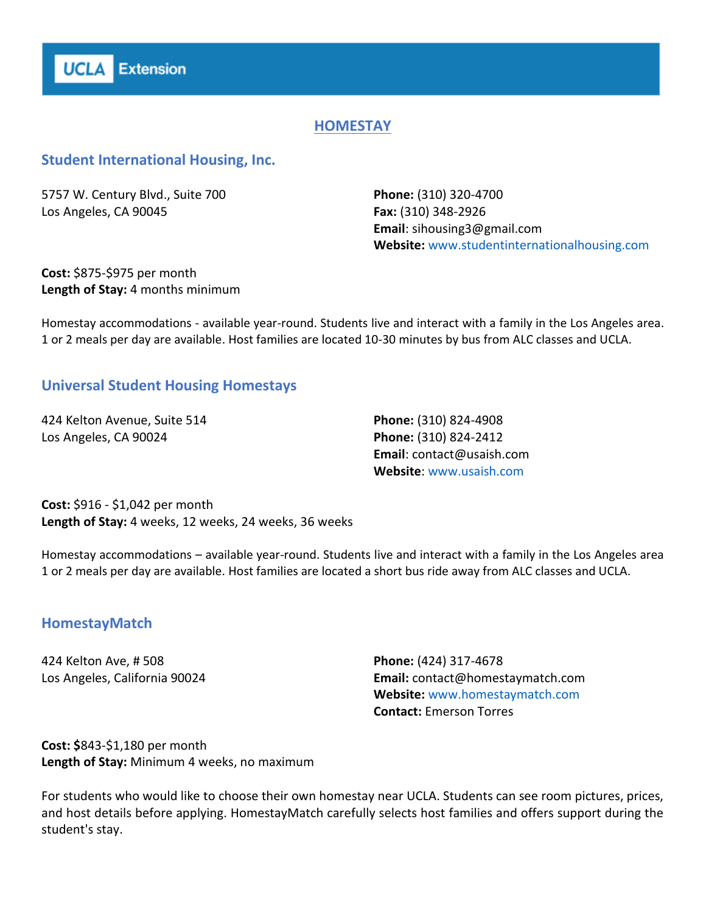

# **HOMESTAY**

#### **Student International Housing, Inc.**

5757 W. Century Blvd., Suite 700 Los Angeles, CA 90045

**Phone:** (310) 320-4700 **Fax:** (310) 348-2926 **Email**: sihousing3@gmail.com **Website:** www.studentinternationalhousing.com

**Cost:** \$875-\$975 per month **Length of Stay:** 4 months minimum

Homestay accommodations - available year-round. Students live and interact with a family in the Los Angeles area. 1 or 2 meals per day are available. Host families are located 10-30 minutes by bus from ALC classes and UCLA.

## **Universal Student Housing Homestays**

424 Kelton Avenue, Suite 514 Los Angeles, CA 90024

**Phone:** (310) 824-4908 **Phone:** (310) 824-2412 **Email**: contact@usaish.com **Website**: www.usaish.com

**Cost:** \$916 - \$1,042 per month **Length of Stay:** 4 weeks, 12 weeks, 24 weeks, 36 weeks

Homestay accommodations – available year-round. Students live and interact with a family in the Los Angeles area 1 or 2 meals per day are available. Host families are located a short bus ride away from ALC classes and UCLA.

## **HomestayMatch**

424 Kelton Ave, # 508 Los Angeles, California 90024 **Phone:** (424) 317-4678 **Email:** contact@homestaymatch.com **Website:** www.homestaymatch.com **Contact:** Emerson Torres

**Cost: \$**843-\$1,180 per month **Length of Stay:** Minimum 4 weeks, no maximum

For students who would like to choose their own homestay near UCLA. Students can see room pictures, prices, and host details before applying. HomestayMatch carefully selects host families and offers support during the student's stay.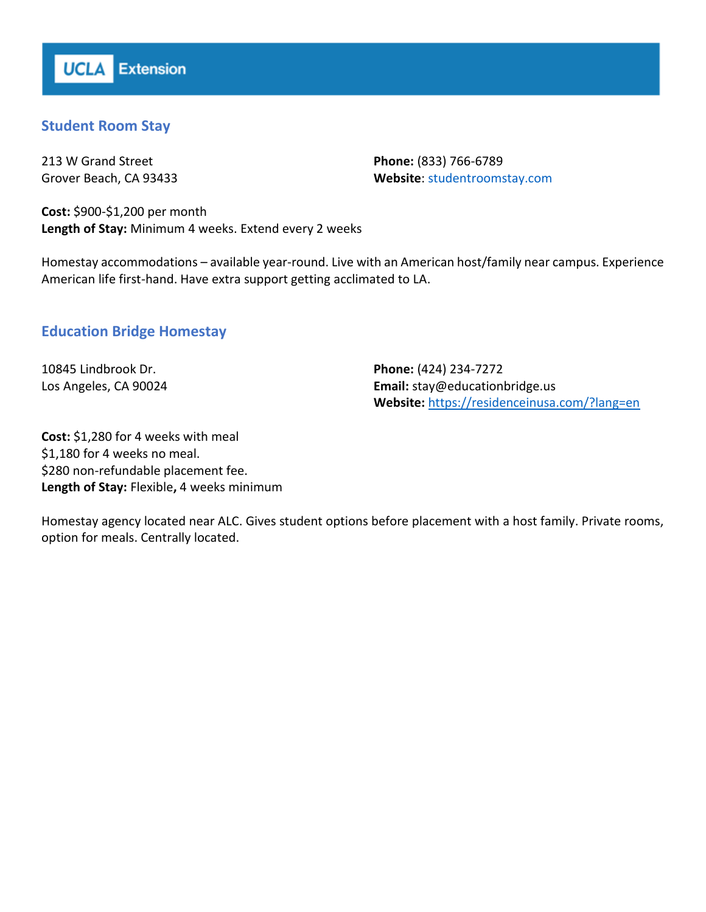# **Student Room Stay**

213 W Grand Street Grover Beach, CA 93433

**Phone:** (833) 766-6789 **Website**: studentroomstay.com

**Cost:** \$900-\$1,200 per month **Length of Stay:** Minimum 4 weeks. Extend every 2 weeks

Homestay accommodations – available year-round. Live with an American host/family near campus. Experience American life first-hand. Have extra support getting acclimated to LA.

# **Education Bridge Homestay**

10845 Lindbrook Dr. Los Angeles, CA 90024 **Phone:** (424) 234-7272 **Email:** stay@educationbridge.us **Website:** <https://residenceinusa.com/?lang=en>

**Cost:** \$1,280 for 4 weeks with meal \$1,180 for 4 weeks no meal. \$280 non-refundable placement fee. **Length of Stay:** Flexible**,** 4 weeks minimum

Homestay agency located near ALC. Gives student options before placement with a host family. Private rooms, option for meals. Centrally located.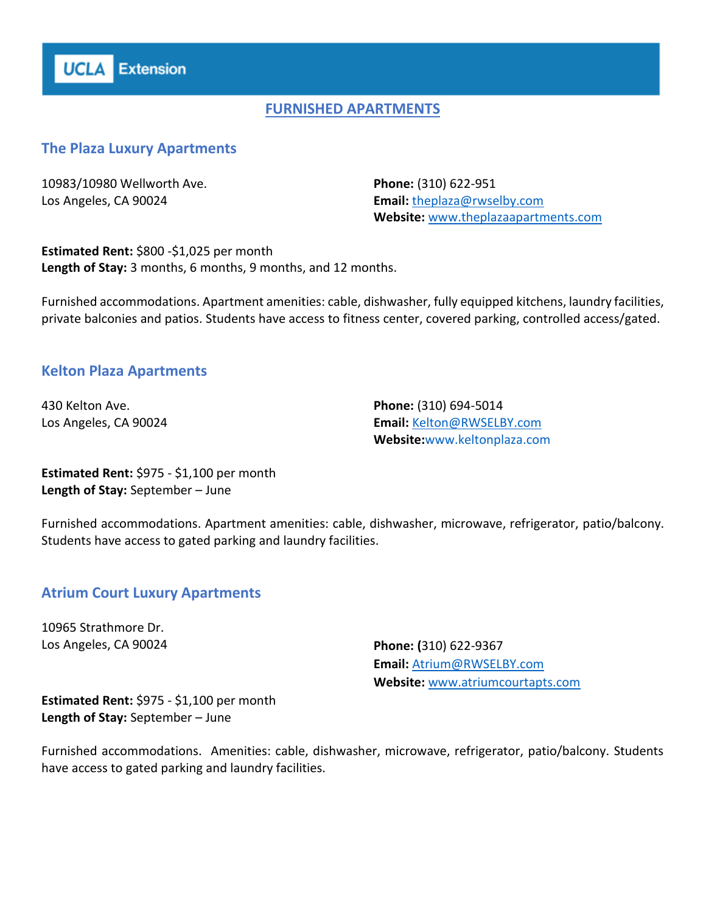

# **FURNISHED APARTMENTS**

#### **The Plaza Luxury Apartments**

10983/10980 Wellworth Ave. Los Angeles, CA 90024

**Phone:** (310) 622-951 **Email:** [theplaza@rwselby.com](mailto:theplaza@rwselby.com) **Website:** [www.theplazaapartments.com](http://www.theplazaapartments.com/)

**Estimated Rent: \$800 -\$1,025 per month Length of Stay:** 3 months, 6 months, 9 months, and 12 months.

Furnished accommodations. Apartment amenities: cable, dishwasher, fully equipped kitchens, laundry facilities, private balconies and patios. Students have access to fitness center, covered parking, controlled access/gated.

#### **Kelton Plaza Apartments**

430 Kelton Ave. Los Angeles, CA 90024 **Phone:** (310) 694-5014 **Email:** [Kelton@RWSELBY.com](mailto:Kelton@RWSELBY.com) **Website:**www.keltonplaza.com

**Estimated Rent:** \$975 - \$1,100 per month **Length of Stay:** September – June

Furnished accommodations. Apartment amenities: cable, dishwasher, microwave, refrigerator, patio/balcony. Students have access to gated parking and laundry facilities.

#### **Atrium Court Luxury Apartments**

10965 Strathmore Dr. Los Angeles, CA 90024 **Phone: (**310) 622-9367

**Email:** [Atrium@RWSELBY.com](mailto:Atrium@RWSELBY.com) **Website:** [www.atriumcourtapts.com](http://www.atriumcourtapts.com/)

**Estimated Rent:** \$975 - \$1,100 per month **Length of Stay:** September – June

Furnished accommodations. Amenities: cable, dishwasher, microwave, refrigerator, patio/balcony. Students have access to gated parking and laundry facilities.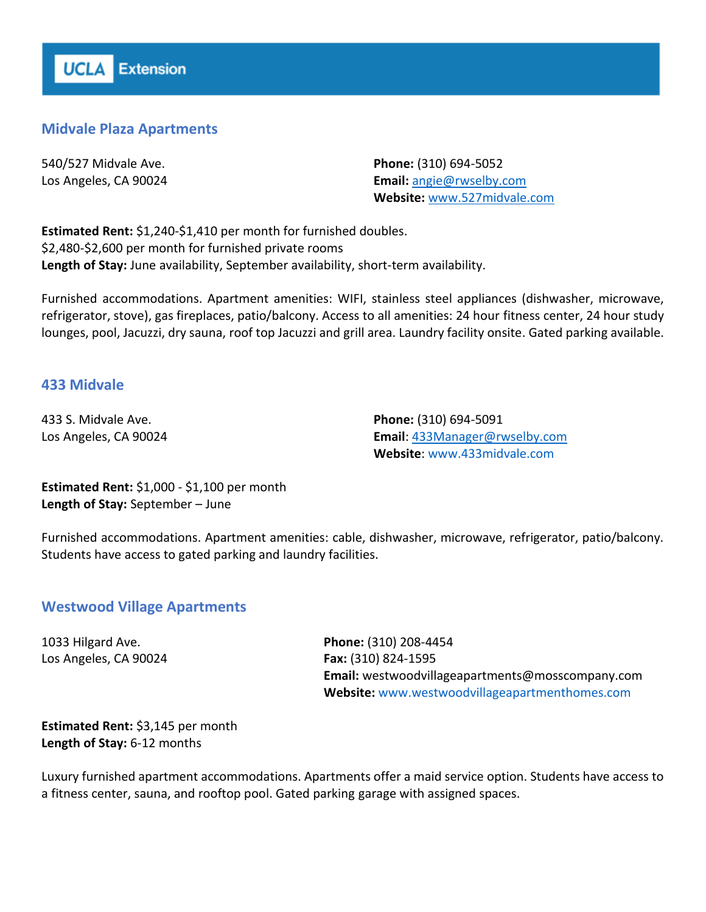# **Midvale Plaza Apartments**

540/527 Midvale Ave. Los Angeles, CA 90024 **Phone:** (310) 694-5052 **Email:** [angie@rwselby.com](mailto:angie@rwselby.com) **Website:** [www.527midvale.com](http://www.527midvale.com/)

**Estimated Rent:** \$1,240-\$1,410 per month for furnished doubles. \$2,480-\$2,600 per month for furnished private rooms **Length of Stay:** June availability, September availability, short-term availability.

Furnished accommodations. Apartment amenities: WIFI, stainless steel appliances (dishwasher, microwave, refrigerator, stove), gas fireplaces, patio/balcony. Access to all amenities: 24 hour fitness center, 24 hour study lounges, pool, Jacuzzi, dry sauna, roof top Jacuzzi and grill area. Laundry facility onsite. Gated parking available.

## **433 Midvale**

433 S. Midvale Ave. Los Angeles, CA 90024 **Phone:** (310) 694-5091 **Email**: [433Manager@rwselby.com](mailto:433Manager@rwselby.com) **Website**: www.433midvale.com

**Estimated Rent:** \$1,000 - \$1,100 per month **Length of Stay:** September – June

Furnished accommodations. Apartment amenities: cable, dishwasher, microwave, refrigerator, patio/balcony. Students have access to gated parking and laundry facilities.

#### **Westwood Village Apartments**

1033 Hilgard Ave. Los Angeles, CA 90024

**Phone:** (310) 208-4454 **Fax:** (310) 824-1595 **Email:** westwoodvillageapartments@mosscompany.com **Website:** www.westwoodvillageapartmenthomes.com

## **Estimated Rent:** \$3,145 per month **Length of Stay:** 6-12 months

Luxury furnished apartment accommodations. Apartments offer a maid service option. Students have access to a fitness center, sauna, and rooftop pool. Gated parking garage with assigned spaces.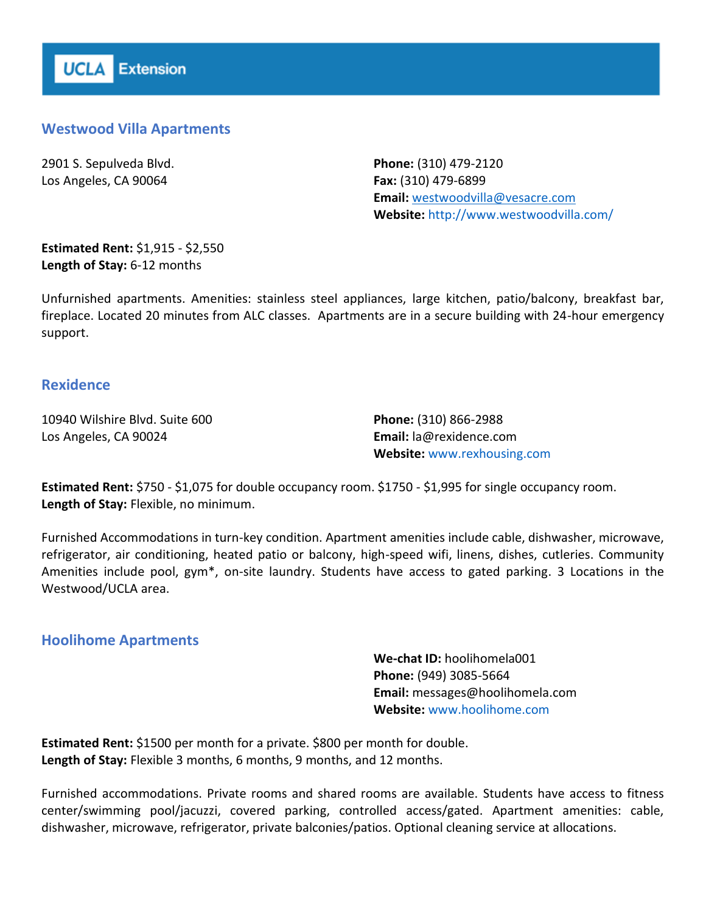# **Westwood Villa Apartments**

2901 S. Sepulveda Blvd. Los Angeles, CA 90064

**Phone:** (310) 479-2120 **Fax:** (310) 479-6899 **Email:** [westwoodvilla@vesacre.com](mailto:westwoodvilla@vesacre.com) **Website:** http://www.westwoodvilla.com/

**Estimated Rent:** \$1,915 - \$2,550 **Length of Stay:** 6-12 months

Unfurnished apartments. Amenities: stainless steel appliances, large kitchen, patio/balcony, breakfast bar, fireplace. Located 20 minutes from ALC classes. Apartments are in a secure building with 24-hour emergency support.

## **Rexidence**

10940 Wilshire Blvd. Suite 600 Los Angeles, CA 90024

**Phone:** (310) 866-2988 **Email:** la@rexidence.com **Website:** www.rexhousing.com

**Estimated Rent:** \$750 - \$1,075 for double occupancy room. \$1750 - \$1,995 for single occupancy room. **Length of Stay:** Flexible, no minimum.

Furnished Accommodations in turn-key condition. Apartment amenities include cable, dishwasher, microwave, refrigerator, air conditioning, heated patio or balcony, high-speed wifi, linens, dishes, cutleries. Community Amenities include pool, gym\*, on-site laundry. Students have access to gated parking. 3 Locations in the Westwood/UCLA area.

## **Hoolihome Apartments**

**We-chat ID:** hoolihomela001 **Phone:** (949) 3085-5664 **Email:** messages@hoolihomela.com **Website:** www.hoolihome.com

**Estimated Rent:** \$1500 per month for a private. \$800 per month for double. **Length of Stay:** Flexible 3 months, 6 months, 9 months, and 12 months.

Furnished accommodations. Private rooms and shared rooms are available. Students have access to fitness center/swimming pool/jacuzzi, covered parking, controlled access/gated. Apartment amenities: cable, dishwasher, microwave, refrigerator, private balconies/patios. Optional cleaning service at allocations.